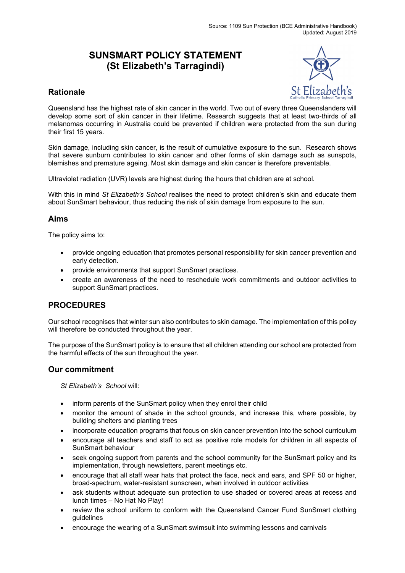# **SUNSMART POLICY STATEMENT (St Elizabeth's Tarragindi)**



## **Rationale**

Queensland has the highest rate of skin cancer in the world. Two out of every three Queenslanders will develop some sort of skin cancer in their lifetime. Research suggests that at least two-thirds of all melanomas occurring in Australia could be prevented if children were protected from the sun during their first 15 years.

Skin damage, including skin cancer, is the result of cumulative exposure to the sun. Research shows that severe sunburn contributes to skin cancer and other forms of skin damage such as sunspots, blemishes and premature ageing. Most skin damage and skin cancer is therefore preventable.

Ultraviolet radiation (UVR) levels are highest during the hours that children are at school.

With this in mind *St Elizabeth's School* realises the need to protect children's skin and educate them about SunSmart behaviour, thus reducing the risk of skin damage from exposure to the sun.

### **Aims**

The policy aims to:

- provide ongoing education that promotes personal responsibility for skin cancer prevention and early detection.
- provide environments that support SunSmart practices.
- create an awareness of the need to reschedule work commitments and outdoor activities to support SunSmart practices.

#### **PROCEDURES**

Our school recognises that winter sun also contributes to skin damage. The implementation of this policy will therefore be conducted throughout the year.

The purpose of the SunSmart policy is to ensure that all children attending our school are protected from the harmful effects of the sun throughout the year.

#### **Our commitment**

*St Elizabeth's School* will:

- inform parents of the SunSmart policy when they enrol their child
- monitor the amount of shade in the school grounds, and increase this, where possible, by building shelters and planting trees
- incorporate education programs that focus on skin cancer prevention into the school curriculum
- encourage all teachers and staff to act as positive role models for children in all aspects of SunSmart behaviour
- seek ongoing support from parents and the school community for the SunSmart policy and its implementation, through newsletters, parent meetings etc.
- encourage that all staff wear hats that protect the face, neck and ears, and SPF 50 or higher, broad-spectrum, water-resistant sunscreen, when involved in outdoor activities
- ask students without adequate sun protection to use shaded or covered areas at recess and lunch times – No Hat No Play!
- review the school uniform to conform with the Queensland Cancer Fund SunSmart clothing guidelines
- encourage the wearing of a SunSmart swimsuit into swimming lessons and carnivals